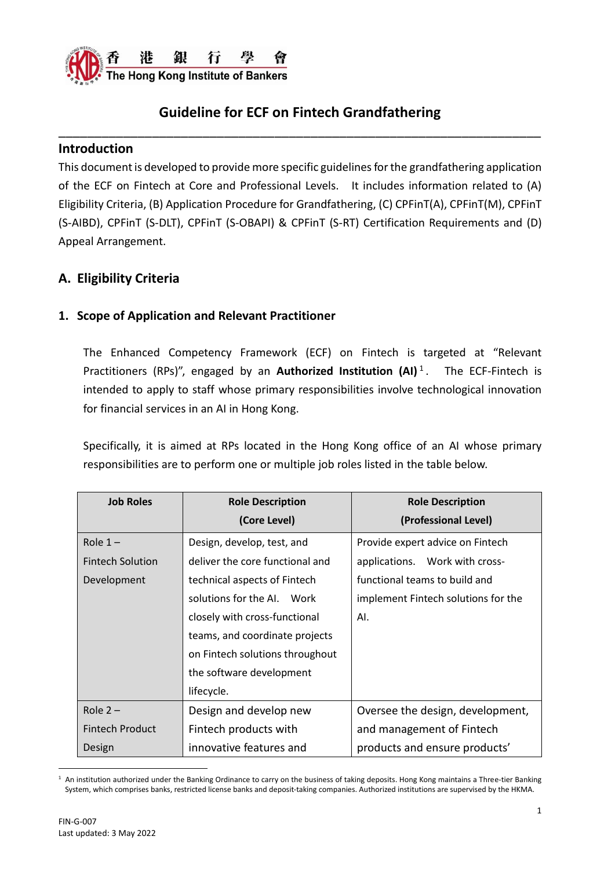

#### **Introduction**

This document is developed to provide more specific guidelines for the grandfathering application of the ECF on Fintech at Core and Professional Levels. It includes information related to (A) Eligibility Criteria, (B) Application Procedure for Grandfathering, (C) CPFinT(A), CPFinT(M), CPFinT (S-AIBD), CPFinT (S-DLT), CPFinT (S-OBAPI) & CPFinT (S-RT) Certification Requirements and (D) Appeal Arrangement.

#### **A. Eligibility Criteria**

#### **1. Scope of Application and Relevant Practitioner**

The Enhanced Competency Framework (ECF) on Fintech is targeted at "Relevant Practitioners (RPs)", engaged by an **Authorized Institution (AI)**<sup>1</sup>. The ECF-Fintech is intended to apply to staff whose primary responsibilities involve technological innovation for financial services in an AI in Hong Kong.

Specifically, it is aimed at RPs located in the Hong Kong office of an AI whose primary responsibilities are to perform one or multiple job roles listed in the table below.

| <b>Job Roles</b>        | <b>Role Description</b>         | <b>Role Description</b>             |
|-------------------------|---------------------------------|-------------------------------------|
|                         | (Core Level)                    | (Professional Level)                |
| Role $1 -$              | Design, develop, test, and      | Provide expert advice on Fintech    |
| <b>Fintech Solution</b> | deliver the core functional and | applications. Work with cross-      |
| Development             | technical aspects of Fintech    | functional teams to build and       |
|                         | solutions for the AI.<br>Work   | implement Fintech solutions for the |
|                         | closely with cross-functional   | AI.                                 |
|                         | teams, and coordinate projects  |                                     |
|                         | on Fintech solutions throughout |                                     |
|                         | the software development        |                                     |
|                         | lifecycle.                      |                                     |
| Role $2 -$              | Design and develop new          | Oversee the design, development,    |
| <b>Fintech Product</b>  | Fintech products with           | and management of Fintech           |
| Design                  | innovative features and         | products and ensure products'       |

 $1$  An institution authorized under the Banking Ordinance to carry on the business of taking deposits. Hong Kong maintains a Three-tier Banking System, which comprises banks, restricted license banks and deposit-taking companies. Authorized institutions are supervised by the HKMA.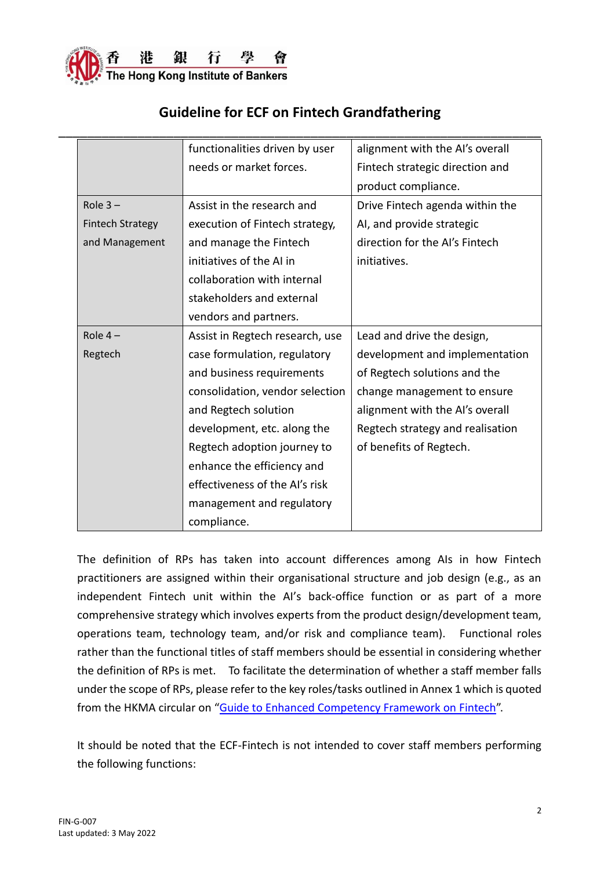

|                         | functionalities driven by user  | alignment with the AI's overall  |
|-------------------------|---------------------------------|----------------------------------|
|                         | needs or market forces.         | Fintech strategic direction and  |
|                         |                                 | product compliance.              |
| Role $3-$               | Assist in the research and      | Drive Fintech agenda within the  |
| <b>Fintech Strategy</b> | execution of Fintech strategy,  | AI, and provide strategic        |
| and Management          | and manage the Fintech          | direction for the AI's Fintech   |
|                         | initiatives of the AI in        | initiatives.                     |
|                         | collaboration with internal     |                                  |
|                         | stakeholders and external       |                                  |
|                         | vendors and partners.           |                                  |
| Role $4-$               | Assist in Regtech research, use | Lead and drive the design,       |
| Regtech                 | case formulation, regulatory    | development and implementation   |
|                         | and business requirements       | of Regtech solutions and the     |
|                         | consolidation, vendor selection | change management to ensure      |
|                         | and Regtech solution            | alignment with the Al's overall  |
|                         | development, etc. along the     | Regtech strategy and realisation |
|                         | Regtech adoption journey to     | of benefits of Regtech.          |
|                         | enhance the efficiency and      |                                  |
|                         | effectiveness of the AI's risk  |                                  |
|                         | management and regulatory       |                                  |
|                         | compliance.                     |                                  |

The definition of RPs has taken into account differences among AIs in how Fintech practitioners are assigned within their organisational structure and job design (e.g., as an independent Fintech unit within the AI's back-office function or as part of a more comprehensive strategy which involves experts from the product design/development team, operations team, technology team, and/or risk and compliance team). Functional roles rather than the functional titles of staff members should be essential in considering whether the definition of RPs is met. To facilitate the determination of whether a staff member falls under the scope of RPs, please refer to the key roles/tasks outlined in Annex 1 which is quoted from the HKMA circular on "Guide [to Enhanced Competency Framework](https://www.hkma.gov.hk/media/eng/doc/key-information/guidelines-and-circular/2021/20211203e1.pdf) on Fintech".

It should be noted that the ECF-Fintech is not intended to cover staff members performing the following functions: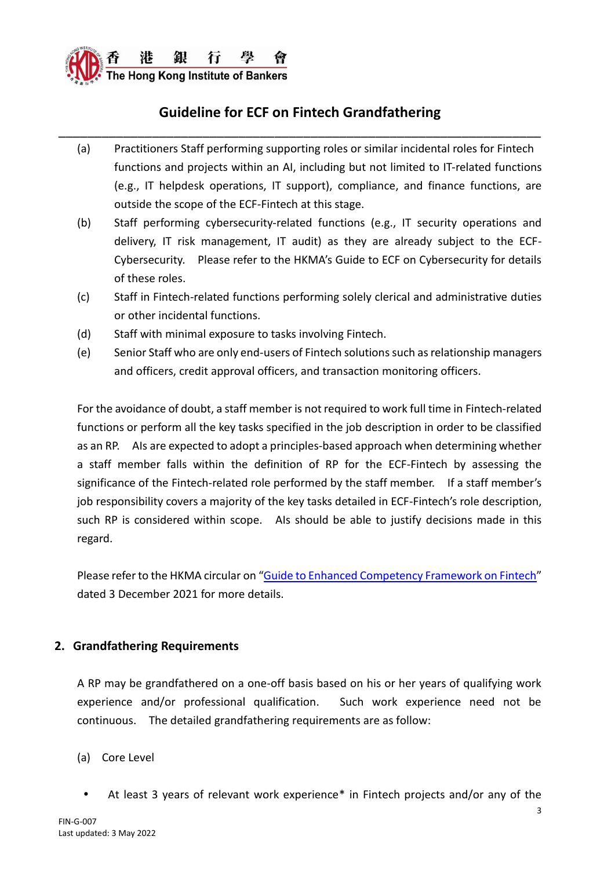

- (a) Practitioners Staff performing supporting roles or similar incidental roles for Fintech functions and projects within an AI, including but not limited to IT-related functions (e.g., IT helpdesk operations, IT support), compliance, and finance functions, are outside the scope of the ECF-Fintech at this stage.
- (b) Staff performing cybersecurity-related functions (e.g., IT security operations and delivery, IT risk management, IT audit) as they are already subject to the ECF-Cybersecurity. Please refer to the HKMA's Guide to ECF on Cybersecurity for details of these roles.
- (c) Staff in Fintech-related functions performing solely clerical and administrative duties or other incidental functions.
- (d) Staff with minimal exposure to tasks involving Fintech.
- (e) Senior Staff who are only end-users of Fintech solutions such as relationship managers and officers, credit approval officers, and transaction monitoring officers.

For the avoidance of doubt, a staff member is not required to work full time in Fintech-related functions or perform all the key tasks specified in the job description in order to be classified as an RP. AIs are expected to adopt a principles-based approach when determining whether a staff member falls within the definition of RP for the ECF-Fintech by assessing the significance of the Fintech-related role performed by the staff member. If a staff member's job responsibility covers a majority of the key tasks detailed in ECF-Fintech's role description, such RP is considered within scope. Als should be able to justify decisions made in this regard.

Please refer to the HKMA circular on "Guide [to Enhanced Competency Framework](https://www.hkma.gov.hk/media/eng/doc/key-information/guidelines-and-circular/2021/20211203e1.pdf) on Fintech" dated 3 December 2021 for more details.

#### **2. Grandfathering Requirements**

A RP may be grandfathered on a one-off basis based on his or her years of qualifying work experience and/or professional qualification. Such work experience need not be continuous. The detailed grandfathering requirements are as follow:

- (a) Core Level
	- At least 3 years of relevant work experience\* in Fintech projects and/or any of the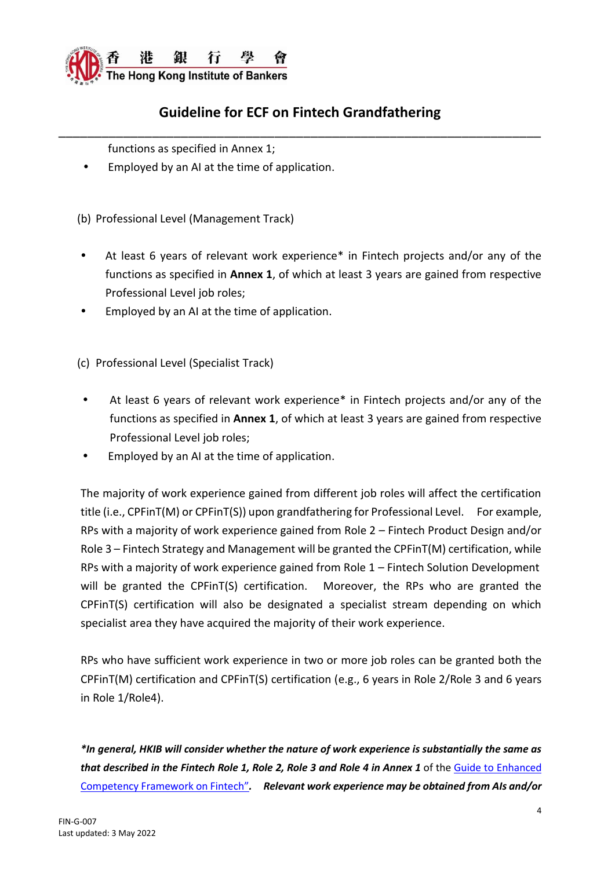

functions as specified in Annex 1;

Employed by an AI at the time of application.

(b) Professional Level (Management Track)

- At least 6 years of relevant work experience\* in Fintech projects and/or any of the functions as specified in **Annex 1**, of which at least 3 years are gained from respective Professional Level job roles;
- Employed by an AI at the time of application.

(c) Professional Level (Specialist Track)

- At least 6 years of relevant work experience\* in Fintech projects and/or any of the functions as specified in **Annex 1**, of which at least 3 years are gained from respective Professional Level job roles;
- Employed by an AI at the time of application.

The majority of work experience gained from different job roles will affect the certification title (i.e., CPFinT(M) or CPFinT(S)) upon grandfathering for Professional Level. For example, RPs with a majority of work experience gained from Role 2 – Fintech Product Design and/or Role 3 – Fintech Strategy and Management will be granted the CPFinT(M) certification, while RPs with a majority of work experience gained from Role 1 – Fintech Solution Development will be granted the CPFinT(S) certification. Moreover, the RPs who are granted the CPFinT(S) certification will also be designated a specialist stream depending on which specialist area they have acquired the majority of their work experience.

RPs who have sufficient work experience in two or more job roles can be granted both the CPFinT(M) certification and CPFinT(S) certification (e.g., 6 years in Role 2/Role 3 and 6 years in Role 1/Role4).

*\*In general, HKIB will consider whether the nature of work experience is substantially the same as that described in the Fintech Role 1, Role 2, Role 3 and Role 4 in Annex 1* of the [Guide to Enhanced](https://www.hkma.gov.hk/media/eng/doc/key-information/guidelines-and-circular/2021/20211203e1.pdf)  [Competency Framework on Fintech](https://www.hkma.gov.hk/media/eng/doc/key-information/guidelines-and-circular/2021/20211203e1.pdf)"*. Relevant work experience may be obtained from AIs and/or*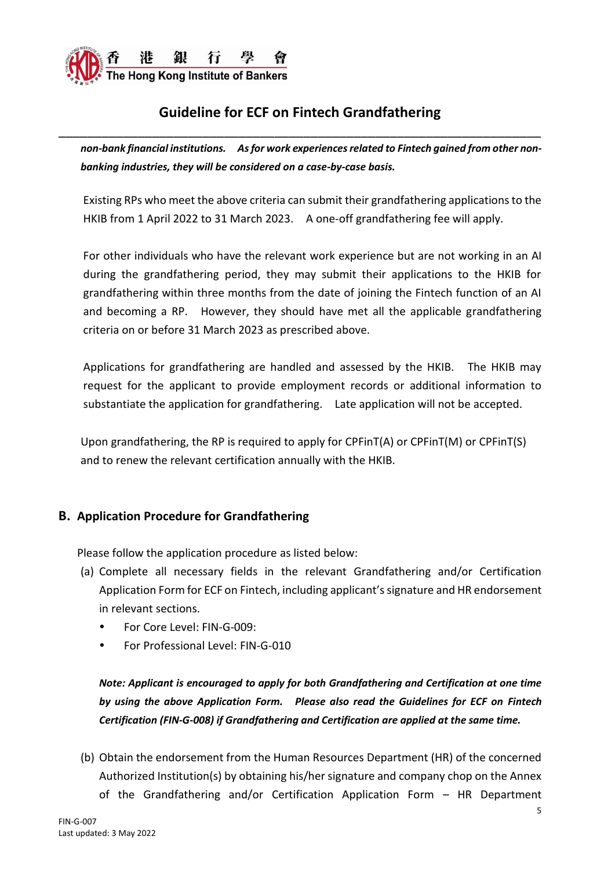

*non-bank financial institutions. As for work experiences related to Fintech gained from other nonbanking industries, they will be considered on a case-by-case basis.* 

Existing RPs who meet the above criteria can submit their grandfathering applications to the HKIB from 1 April 2022 to 31 March 2023. A one-off grandfathering fee will apply.

For other individuals who have the relevant work experience but are not working in an AI during the grandfathering period, they may submit their applications to the HKIB for grandfathering within three months from the date of joining the Fintech function of an AI and becoming a RP. However, they should have met all the applicable grandfathering criteria on or before 31 March 2023 as prescribed above.

Applications for grandfathering are handled and assessed by the HKIB. The HKIB may request for the applicant to provide employment records or additional information to substantiate the application for grandfathering. Late application will not be accepted.

Upon grandfathering, the RP is required to apply for CPFinT(A) or CPFinT(M) or CPFinT(S) and to renew the relevant certification annually with the HKIB.

#### **B. Application Procedure for Grandfathering**

Please follow the application procedure as listed below:

- (a) Complete all necessary fields in the relevant Grandfathering and/or Certification Application Form for ECF on Fintech, including applicant's signature and HR endorsement in relevant sections.
	- For Core Level: FIN-G-009:
	- For Professional Level: FIN-G-010

*Note: Applicant is encouraged to apply for both Grandfathering and Certification at one time by using the above Application Form. Please also read the Guidelines for ECF on Fintech Certification (FIN-G-008) if Grandfathering and Certification are applied at the same time.*

(b) Obtain the endorsement from the Human Resources Department (HR) of the concerned Authorized Institution(s) by obtaining his/her signature and company chop on the Annex of the Grandfathering and/or Certification Application Form – HR Department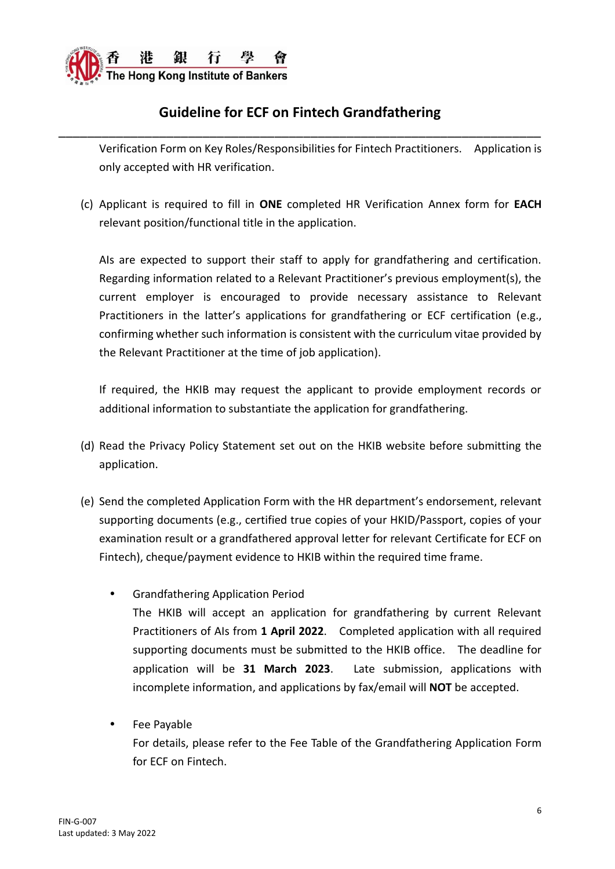

Verification Form on Key Roles/Responsibilities for Fintech Practitioners. Application is only accepted with HR verification.

(c) Applicant is required to fill in **ONE** completed HR Verification Annex form for **EACH** relevant position/functional title in the application.

AIs are expected to support their staff to apply for grandfathering and certification. Regarding information related to a Relevant Practitioner's previous employment(s), the current employer is encouraged to provide necessary assistance to Relevant Practitioners in the latter's applications for grandfathering or ECF certification (e.g., confirming whether such information is consistent with the curriculum vitae provided by the Relevant Practitioner at the time of job application).

If required, the HKIB may request the applicant to provide employment records or additional information to substantiate the application for grandfathering.

- (d) Read the Privacy Policy Statement set out on the HKIB website before submitting the application.
- (e) Send the completed Application Form with the HR department's endorsement, relevant supporting documents (e.g., certified true copies of your HKID/Passport, copies of your examination result or a grandfathered approval letter for relevant Certificate for ECF on Fintech), cheque/payment evidence to HKIB within the required time frame.
	- Grandfathering Application Period The HKIB will accept an application for grandfathering by current Relevant Practitioners of AIs from **1 April 2022**. Completed application with all required supporting documents must be submitted to the HKIB office. The deadline for application will be **31 March 2023**. Late submission, applications with incomplete information, and applications by fax/email will **NOT** be accepted.
	- Fee Payable

For details, please refer to the Fee Table of the Grandfathering Application Form for ECF on Fintech.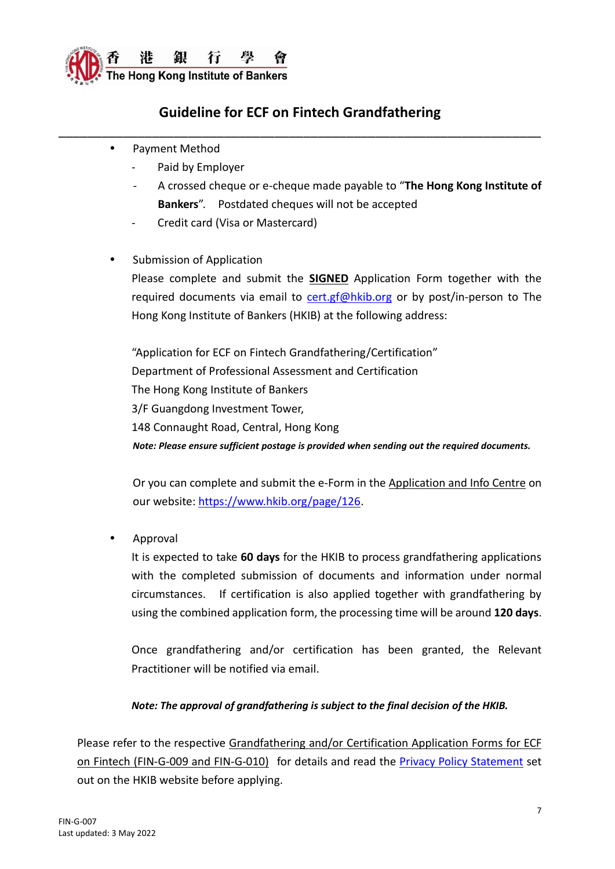

- Payment Method
	- Paid by Employer
	- A crossed cheque or e-cheque made payable to "**The Hong Kong Institute of Bankers**". Postdated cheques will not be accepted
	- Credit card (Visa or Mastercard)
- Submission of Application

Please complete and submit the **SIGNED** Application Form together with the required documents via email to [cert.gf@hkib.org](mailto:ecf.crm@hkib.org) or by post/in-person to The Hong Kong Institute of Bankers (HKIB) at the following address:

"Application for ECF on Fintech Grandfathering/Certification" Department of Professional Assessment and Certification The Hong Kong Institute of Bankers 3/F Guangdong Investment Tower, 148 Connaught Road, Central, Hong Kong *Note: Please ensure sufficient postage is provided when sending out the required documents.*

Or you can complete and submit the e-Form in the Application and Info Centre on our website: [https://www.hkib.org/page/126.](https://www.hkib.org/page/126)

Approval

It is expected to take **60 days** for the HKIB to process grandfathering applications with the completed submission of documents and information under normal circumstances. If certification is also applied together with grandfathering by using the combined application form, the processing time will be around **120 days**.

Once grandfathering and/or certification has been granted, the Relevant Practitioner will be notified via email.

#### *Note: The approval of grandfathering is subject to the final decision of the HKIB.*

Please refer to the respective Grandfathering and/or Certification Application Forms for ECF on Fintech (FIN-G-009 and FIN-G-010) for details and read the [Privacy Policy Statement](https://www.hkib.org/storage/photos/7/Privacy_Policy_Statement_20220406.pdf) set out on the HKIB website before applying.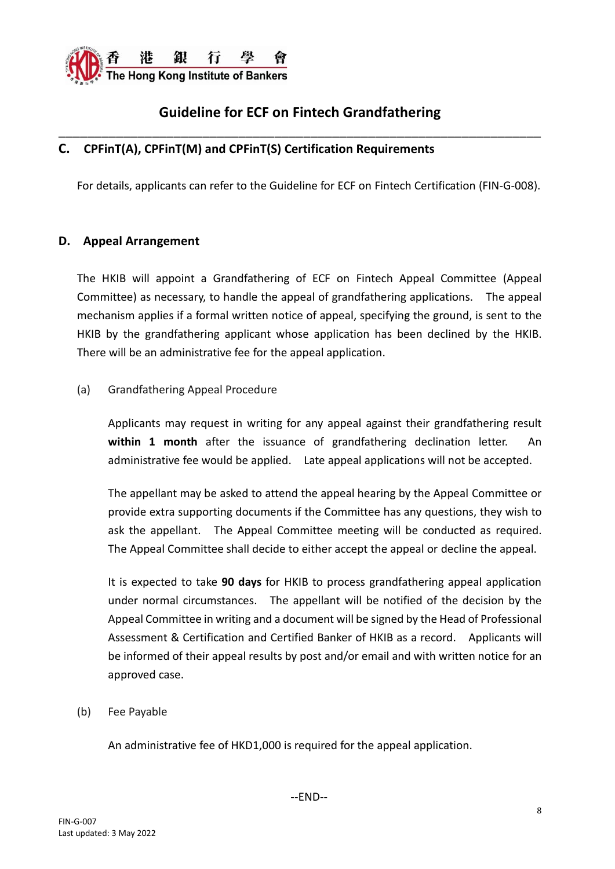

#### **C. CPFinT(A), CPFinT(M) and CPFinT(S) Certification Requirements**

For details, applicants can refer to the Guideline for ECF on Fintech Certification (FIN-G-008).

#### **D. Appeal Arrangement**

The HKIB will appoint a Grandfathering of ECF on Fintech Appeal Committee (Appeal Committee) as necessary, to handle the appeal of grandfathering applications. The appeal mechanism applies if a formal written notice of appeal, specifying the ground, is sent to the HKIB by the grandfathering applicant whose application has been declined by the HKIB. There will be an administrative fee for the appeal application.

#### (a) Grandfathering Appeal Procedure

Applicants may request in writing for any appeal against their grandfathering result **within 1 month** after the issuance of grandfathering declination letter. An administrative fee would be applied. Late appeal applications will not be accepted.

The appellant may be asked to attend the appeal hearing by the Appeal Committee or provide extra supporting documents if the Committee has any questions, they wish to ask the appellant. The Appeal Committee meeting will be conducted as required. The Appeal Committee shall decide to either accept the appeal or decline the appeal.

It is expected to take **90 days** for HKIB to process grandfathering appeal application under normal circumstances. The appellant will be notified of the decision by the Appeal Committee in writing and a document will be signed by the Head of Professional Assessment & Certification and Certified Banker of HKIB as a record. Applicants will be informed of their appeal results by post and/or email and with written notice for an approved case.

(b) Fee Payable

An administrative fee of HKD1,000 is required for the appeal application.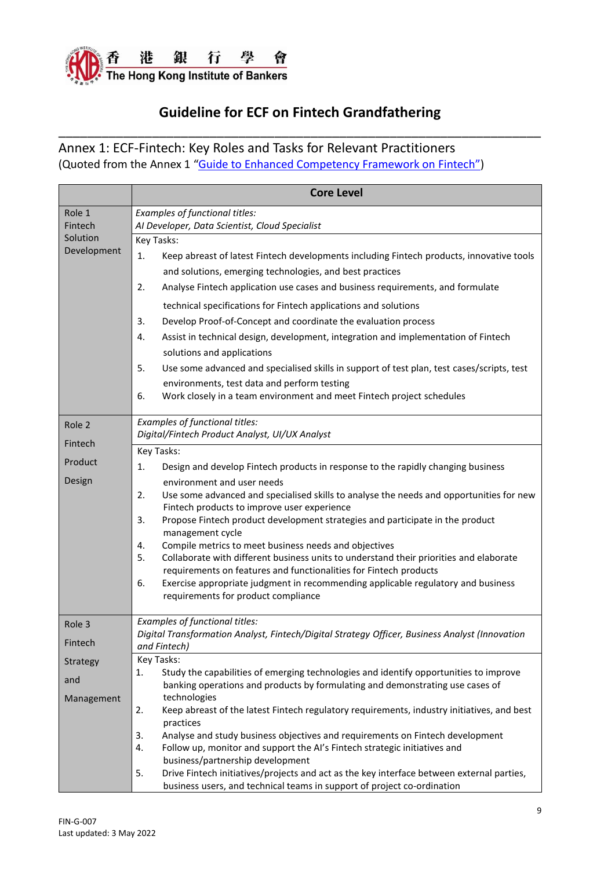

Annex 1: ECF-Fintech: Key Roles and Tasks for Relevant Practitioners (Quoted from the Annex 1 ["Guide to Enhanced Competency Framework on Fintech"\)](https://www.hkma.gov.hk/media/eng/doc/key-information/guidelines-and-circular/2021/20211203e1.pdf)

|                   | <b>Core Level</b>                                                                                                                                                          |
|-------------------|----------------------------------------------------------------------------------------------------------------------------------------------------------------------------|
| Role 1<br>Fintech | Examples of functional titles:<br>Al Developer, Data Scientist, Cloud Specialist                                                                                           |
| Solution          | Key Tasks:                                                                                                                                                                 |
| Development       | Keep abreast of latest Fintech developments including Fintech products, innovative tools<br>1.                                                                             |
|                   | and solutions, emerging technologies, and best practices                                                                                                                   |
|                   | Analyse Fintech application use cases and business requirements, and formulate<br>2.                                                                                       |
|                   | technical specifications for Fintech applications and solutions                                                                                                            |
|                   | 3.<br>Develop Proof-of-Concept and coordinate the evaluation process                                                                                                       |
|                   | Assist in technical design, development, integration and implementation of Fintech<br>4.                                                                                   |
|                   | solutions and applications                                                                                                                                                 |
|                   | Use some advanced and specialised skills in support of test plan, test cases/scripts, test<br>5.                                                                           |
|                   | environments, test data and perform testing                                                                                                                                |
|                   | Work closely in a team environment and meet Fintech project schedules<br>6.                                                                                                |
| Role 2            | Examples of functional titles:                                                                                                                                             |
| Fintech           | Digital/Fintech Product Analyst, UI/UX Analyst                                                                                                                             |
|                   | Key Tasks:                                                                                                                                                                 |
| Product           | Design and develop Fintech products in response to the rapidly changing business<br>1.                                                                                     |
| Design            | environment and user needs                                                                                                                                                 |
|                   | Use some advanced and specialised skills to analyse the needs and opportunities for new<br>2.<br>Fintech products to improve user experience                               |
|                   | Propose Fintech product development strategies and participate in the product<br>3.<br>management cycle                                                                    |
|                   | Compile metrics to meet business needs and objectives<br>4.                                                                                                                |
|                   | Collaborate with different business units to understand their priorities and elaborate<br>5.                                                                               |
|                   | requirements on features and functionalities for Fintech products                                                                                                          |
|                   | Exercise appropriate judgment in recommending applicable regulatory and business<br>6.<br>requirements for product compliance                                              |
| Role 3            | Examples of functional titles:                                                                                                                                             |
| Fintech           | Digital Transformation Analyst, Fintech/Digital Strategy Officer, Business Analyst (Innovation                                                                             |
| Strategy          | and Fintech)<br>Key Tasks:                                                                                                                                                 |
|                   | Study the capabilities of emerging technologies and identify opportunities to improve<br>1.                                                                                |
| and               | banking operations and products by formulating and demonstrating use cases of                                                                                              |
| Management        | technologies                                                                                                                                                               |
|                   | Keep abreast of the latest Fintech regulatory requirements, industry initiatives, and best<br>2.<br>practices                                                              |
|                   | Analyse and study business objectives and requirements on Fintech development<br>3.                                                                                        |
|                   | Follow up, monitor and support the AI's Fintech strategic initiatives and<br>4.                                                                                            |
|                   | business/partnership development                                                                                                                                           |
|                   | Drive Fintech initiatives/projects and act as the key interface between external parties,<br>5.<br>business users, and technical teams in support of project co-ordination |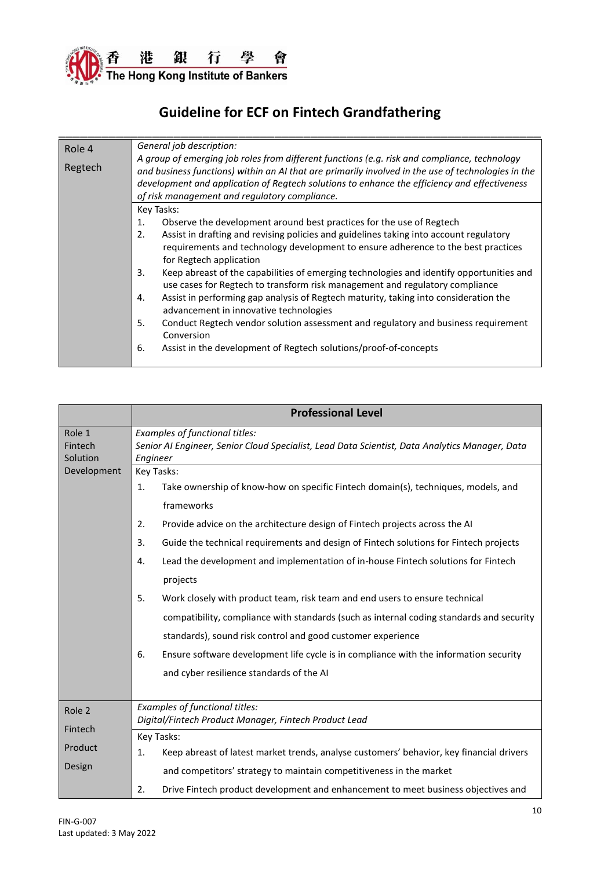

| Role 4  | General job description:                                                                           |  |
|---------|----------------------------------------------------------------------------------------------------|--|
|         | A group of emerging job roles from different functions (e.g. risk and compliance, technology       |  |
| Regtech | and business functions) within an AI that are primarily involved in the use of technologies in the |  |
|         | development and application of Regtech solutions to enhance the efficiency and effectiveness       |  |
|         | of risk management and regulatory compliance.                                                      |  |
|         | Key Tasks:                                                                                         |  |
|         | Observe the development around best practices for the use of Regtech<br>$\mathbf{1}$ .             |  |
|         | 2.<br>Assist in drafting and revising policies and guidelines taking into account regulatory       |  |
|         | requirements and technology development to ensure adherence to the best practices                  |  |
|         | for Regtech application                                                                            |  |
|         | Keep abreast of the capabilities of emerging technologies and identify opportunities and<br>3.     |  |
|         | use cases for Regtech to transform risk management and regulatory compliance                       |  |
|         | Assist in performing gap analysis of Regtech maturity, taking into consideration the<br>4.         |  |
|         | advancement in innovative technologies                                                             |  |
|         | 5.<br>Conduct Regtech vendor solution assessment and regulatory and business requirement           |  |
|         | Conversion                                                                                         |  |
|         | 6.<br>Assist in the development of Regtech solutions/proof-of-concepts                             |  |
|         |                                                                                                    |  |

|                               | <b>Professional Level</b>                                                                                                                                                                                                                                                                                                                                                                                                                                                                                                                                                                                                                                                                                                                                                                                 |  |  |
|-------------------------------|-----------------------------------------------------------------------------------------------------------------------------------------------------------------------------------------------------------------------------------------------------------------------------------------------------------------------------------------------------------------------------------------------------------------------------------------------------------------------------------------------------------------------------------------------------------------------------------------------------------------------------------------------------------------------------------------------------------------------------------------------------------------------------------------------------------|--|--|
| Role 1<br>Fintech<br>Solution | Examples of functional titles:<br>Senior AI Engineer, Senior Cloud Specialist, Lead Data Scientist, Data Analytics Manager, Data<br>Engineer                                                                                                                                                                                                                                                                                                                                                                                                                                                                                                                                                                                                                                                              |  |  |
| Development                   | Key Tasks:<br>Take ownership of know-how on specific Fintech domain(s), techniques, models, and<br>1.<br>frameworks<br>2.<br>Provide advice on the architecture design of Fintech projects across the AI<br>Guide the technical requirements and design of Fintech solutions for Fintech projects<br>3.<br>Lead the development and implementation of in-house Fintech solutions for Fintech<br>4.<br>projects<br>5.<br>Work closely with product team, risk team and end users to ensure technical<br>compatibility, compliance with standards (such as internal coding standards and security<br>standards), sound risk control and good customer experience<br>Ensure software development life cycle is in compliance with the information security<br>6.<br>and cyber resilience standards of the AI |  |  |
| Role 2                        | Examples of functional titles:<br>Digital/Fintech Product Manager, Fintech Product Lead                                                                                                                                                                                                                                                                                                                                                                                                                                                                                                                                                                                                                                                                                                                   |  |  |
| Fintech<br>Product<br>Design  | Key Tasks:<br>Keep abreast of latest market trends, analyse customers' behavior, key financial drivers<br>1.<br>and competitors' strategy to maintain competitiveness in the market<br>Drive Fintech product development and enhancement to meet business objectives and<br>2.                                                                                                                                                                                                                                                                                                                                                                                                                                                                                                                            |  |  |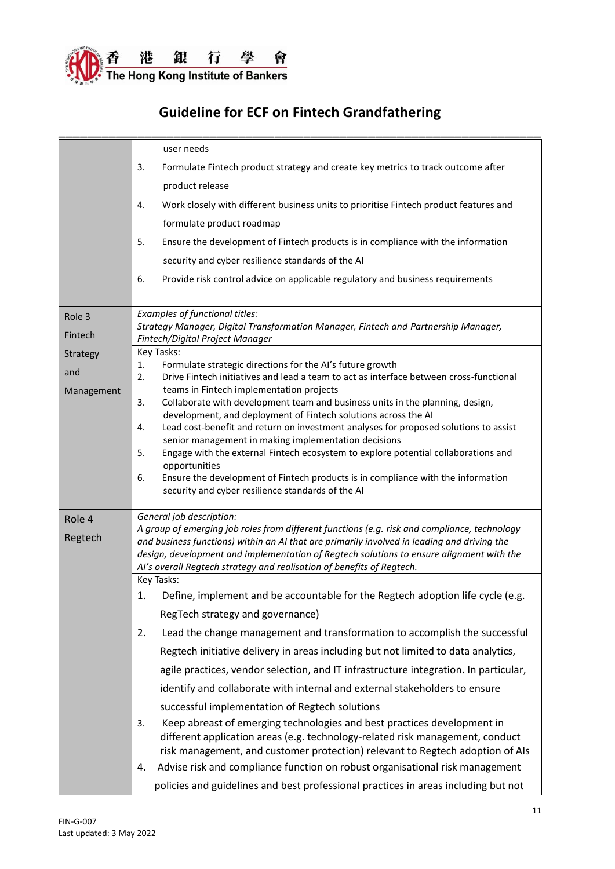

|            | user needs<br>Formulate Fintech product strategy and create key metrics to track outcome after<br>3.<br>product release<br>Work closely with different business units to prioritise Fintech product features and<br>4.<br>formulate product roadmap<br>5.<br>Ensure the development of Fintech products is in compliance with the information<br>security and cyber resilience standards of the AI<br>6.<br>Provide risk control advice on applicable regulatory and business requirements |
|------------|--------------------------------------------------------------------------------------------------------------------------------------------------------------------------------------------------------------------------------------------------------------------------------------------------------------------------------------------------------------------------------------------------------------------------------------------------------------------------------------------|
| Role 3     | Examples of functional titles:<br>Strategy Manager, Digital Transformation Manager, Fintech and Partnership Manager,                                                                                                                                                                                                                                                                                                                                                                       |
| Fintech    | Fintech/Digital Project Manager                                                                                                                                                                                                                                                                                                                                                                                                                                                            |
| Strategy   | Key Tasks:<br>1.                                                                                                                                                                                                                                                                                                                                                                                                                                                                           |
| and        | Formulate strategic directions for the AI's future growth<br>Drive Fintech initiatives and lead a team to act as interface between cross-functional<br>2.                                                                                                                                                                                                                                                                                                                                  |
| Management | teams in Fintech implementation projects                                                                                                                                                                                                                                                                                                                                                                                                                                                   |
|            | Collaborate with development team and business units in the planning, design,<br>3.<br>development, and deployment of Fintech solutions across the AI                                                                                                                                                                                                                                                                                                                                      |
|            | Lead cost-benefit and return on investment analyses for proposed solutions to assist<br>4.                                                                                                                                                                                                                                                                                                                                                                                                 |
|            | senior management in making implementation decisions                                                                                                                                                                                                                                                                                                                                                                                                                                       |
|            | Engage with the external Fintech ecosystem to explore potential collaborations and<br>5.                                                                                                                                                                                                                                                                                                                                                                                                   |
|            | opportunities<br>Ensure the development of Fintech products is in compliance with the information<br>6.<br>security and cyber resilience standards of the AI                                                                                                                                                                                                                                                                                                                               |
| Role 4     | General job description:                                                                                                                                                                                                                                                                                                                                                                                                                                                                   |
| Regtech    | A group of emerging job roles from different functions (e.g. risk and compliance, technology<br>and business functions) within an AI that are primarily involved in leading and driving the<br>design, development and implementation of Regtech solutions to ensure alignment with the<br>AI's overall Regtech strategy and realisation of benefits of Regtech.                                                                                                                           |
|            | Key Tasks:                                                                                                                                                                                                                                                                                                                                                                                                                                                                                 |
|            | Define, implement and be accountable for the Regtech adoption life cycle (e.g.<br>1.                                                                                                                                                                                                                                                                                                                                                                                                       |
|            | RegTech strategy and governance)                                                                                                                                                                                                                                                                                                                                                                                                                                                           |
|            | Lead the change management and transformation to accomplish the successful<br>2.                                                                                                                                                                                                                                                                                                                                                                                                           |
|            | Regtech initiative delivery in areas including but not limited to data analytics,                                                                                                                                                                                                                                                                                                                                                                                                          |
|            | agile practices, vendor selection, and IT infrastructure integration. In particular,                                                                                                                                                                                                                                                                                                                                                                                                       |
|            | identify and collaborate with internal and external stakeholders to ensure                                                                                                                                                                                                                                                                                                                                                                                                                 |
|            | successful implementation of Regtech solutions                                                                                                                                                                                                                                                                                                                                                                                                                                             |
|            | Keep abreast of emerging technologies and best practices development in<br>3.<br>different application areas (e.g. technology-related risk management, conduct<br>risk management, and customer protection) relevant to Regtech adoption of AIs                                                                                                                                                                                                                                            |
|            | Advise risk and compliance function on robust organisational risk management<br>4.                                                                                                                                                                                                                                                                                                                                                                                                         |
|            | policies and guidelines and best professional practices in areas including but not                                                                                                                                                                                                                                                                                                                                                                                                         |